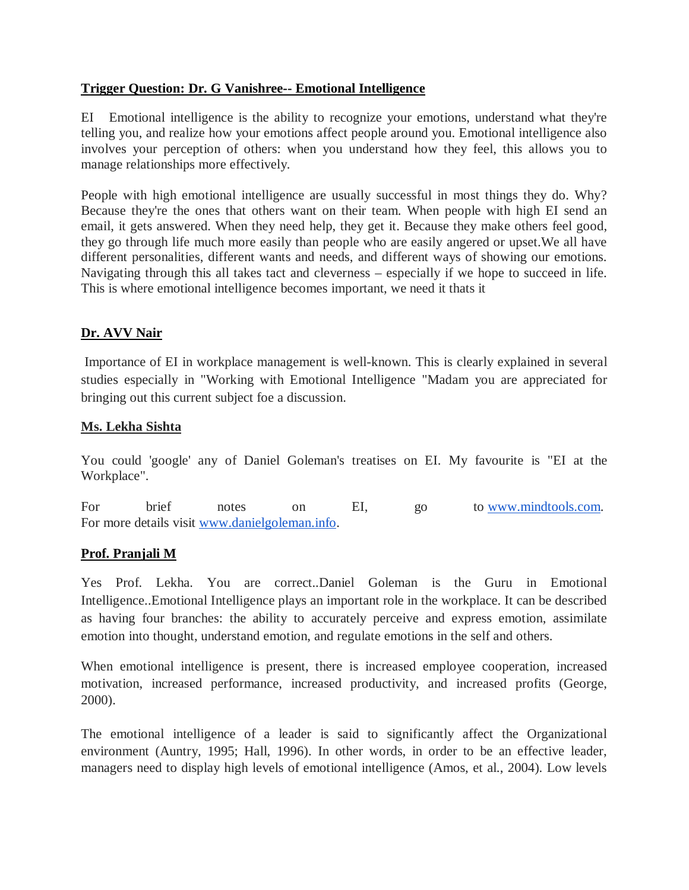### **Trigger Question: Dr. G Vanishree-- Emotional Intelligence**

EI Emotional intelligence is the ability to recognize your emotions, understand what they're telling you, and realize how your emotions affect people around you. Emotional intelligence also involves your perception of others: when you understand how they feel, this allows you to manage relationships more effectively.

People with high emotional intelligence are usually successful in most things they do. Why? Because they're the ones that others want on their team. When people with high EI send an email, it gets answered. When they need help, they get it. Because they make others feel good, they go through life much more easily than people who are easily angered or upset.We all have different personalities, different wants and needs, and different ways of showing our emotions. Navigating through this all takes tact and cleverness – especially if we hope to succeed in life. This is where emotional intelligence becomes important, we need it thats it

# **Dr. AVV Nair**

Importance of EI in workplace management is well-known. This is clearly explained in several studies especially in "Working with Emotional Intelligence "Madam you are appreciated for bringing out this current subject foe a discussion.

# **Ms. Lekha Sishta**

You could 'google' any of Daniel Goleman's treatises on EI. My favourite is "EI at the Workplace".

For brief notes on EI, go to www.mindtools.com. For more details visit www.danielgoleman.info.

# **Prof. Pranjali M**

Yes Prof. Lekha. You are correct..Daniel Goleman is the Guru in Emotional Intelligence..Emotional Intelligence plays an important role in the workplace. It can be described as having four branches: the ability to accurately perceive and express emotion, assimilate emotion into thought, understand emotion, and regulate emotions in the self and others.

When emotional intelligence is present, there is increased employee cooperation, increased motivation, increased performance, increased productivity, and increased profits (George, 2000).

The emotional intelligence of a leader is said to significantly affect the Organizational environment (Auntry, 1995; Hall, 1996). In other words, in order to be an effective leader, managers need to display high levels of emotional intelligence (Amos, et al., 2004). Low levels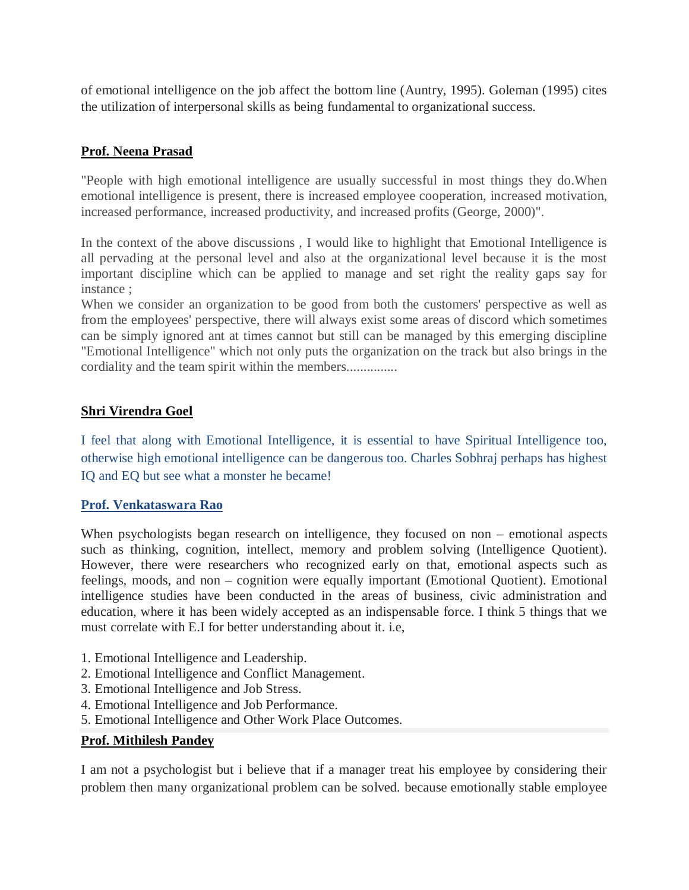of emotional intelligence on the job affect the bottom line (Auntry, 1995). Goleman (1995) cites the utilization of interpersonal skills as being fundamental to organizational success.

# **Prof. Neena Prasad**

"People with high emotional intelligence are usually successful in most things they do.When emotional intelligence is present, there is increased employee cooperation, increased motivation, increased performance, increased productivity, and increased profits (George, 2000)".

In the context of the above discussions , I would like to highlight that Emotional Intelligence is all pervading at the personal level and also at the organizational level because it is the most important discipline which can be applied to manage and set right the reality gaps say for instance ;

When we consider an organization to be good from both the customers' perspective as well as from the employees' perspective, there will always exist some areas of discord which sometimes can be simply ignored ant at times cannot but still can be managed by this emerging discipline "Emotional Intelligence" which not only puts the organization on the track but also brings in the cordiality and the team spirit within the members...............

# **Shri Virendra Goel**

I feel that along with Emotional Intelligence, it is essential to have Spiritual Intelligence too, otherwise high emotional intelligence can be dangerous too. Charles Sobhraj perhaps has highest IQ and EQ but see what a monster he became!

# **Prof. Venkataswara Rao**

When psychologists began research on intelligence, they focused on non – emotional aspects such as thinking, cognition, intellect, memory and problem solving (Intelligence Quotient). However, there were researchers who recognized early on that, emotional aspects such as feelings, moods, and non – cognition were equally important (Emotional Quotient). Emotional intelligence studies have been conducted in the areas of business, civic administration and education, where it has been widely accepted as an indispensable force. I think 5 things that we must correlate with E.I for better understanding about it. i.e,

- 1. Emotional Intelligence and Leadership.
- 2. Emotional Intelligence and Conflict Management.
- 3. Emotional Intelligence and Job Stress.
- 4. Emotional Intelligence and Job Performance.
- 5. Emotional Intelligence and Other Work Place Outcomes.

#### **Prof. Mithilesh Pandey**

I am not a psychologist but i believe that if a manager treat his employee by considering their problem then many organizational problem can be solved. because emotionally stable employee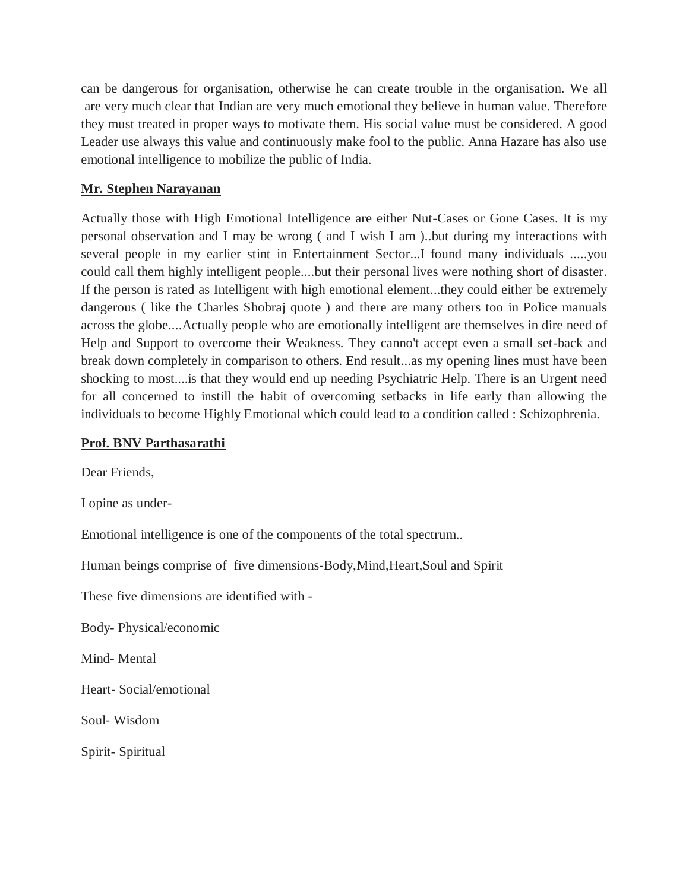can be dangerous for organisation, otherwise he can create trouble in the organisation. We all are very much clear that Indian are very much emotional they believe in human value. Therefore they must treated in proper ways to motivate them. His social value must be considered. A good Leader use always this value and continuously make fool to the public. Anna Hazare has also use emotional intelligence to mobilize the public of India.

# **Mr. Stephen Narayanan**

Actually those with High Emotional Intelligence are either Nut-Cases or Gone Cases. It is my personal observation and I may be wrong ( and I wish I am )..but during my interactions with several people in my earlier stint in Entertainment Sector...I found many individuals .....you could call them highly intelligent people....but their personal lives were nothing short of disaster. If the person is rated as Intelligent with high emotional element...they could either be extremely dangerous ( like the Charles Shobraj quote ) and there are many others too in Police manuals across the globe....Actually people who are emotionally intelligent are themselves in dire need of Help and Support to overcome their Weakness. They canno't accept even a small set-back and break down completely in comparison to others. End result...as my opening lines must have been shocking to most....is that they would end up needing Psychiatric Help. There is an Urgent need for all concerned to instill the habit of overcoming setbacks in life early than allowing the individuals to become Highly Emotional which could lead to a condition called : Schizophrenia.

### **Prof. BNV Parthasarathi**

Dear Friends,

I opine as under-

Emotional intelligence is one of the components of the total spectrum..

Human beings comprise of five dimensions-Body,Mind,Heart,Soul and Spirit

These five dimensions are identified with -

Body- Physical/economic

Mind- Mental

Heart- Social/emotional

Soul- Wisdom

Spirit- Spiritual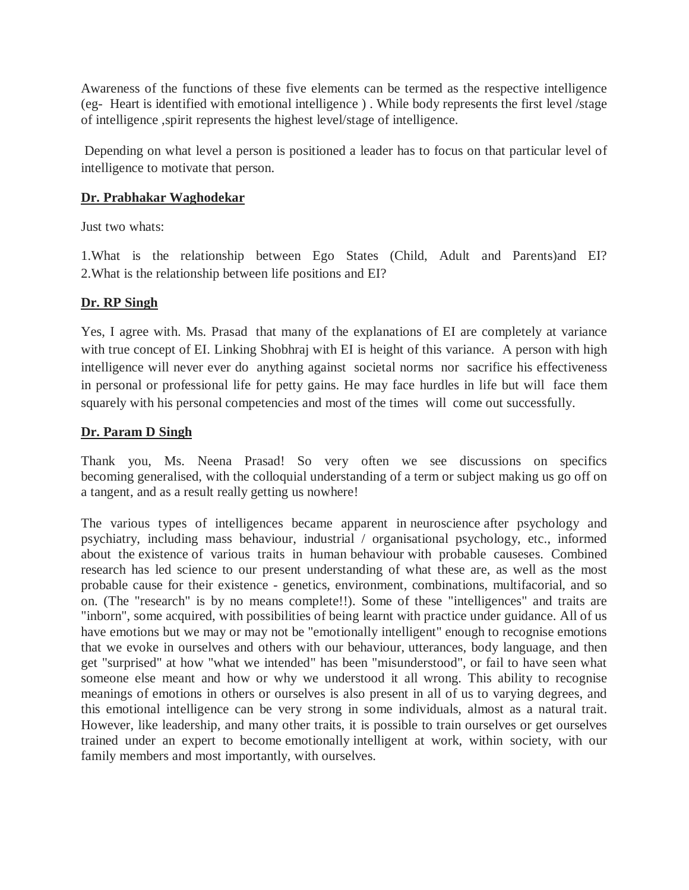Awareness of the functions of these five elements can be termed as the respective intelligence (eg- Heart is identified with emotional intelligence ) . While body represents the first level /stage of intelligence ,spirit represents the highest level/stage of intelligence.

Depending on what level a person is positioned a leader has to focus on that particular level of intelligence to motivate that person.

# **Dr. Prabhakar Waghodekar**

Just two whats:

1.What is the relationship between Ego States (Child, Adult and Parents)and EI? 2.What is the relationship between life positions and EI?

# **Dr. RP Singh**

Yes, I agree with. Ms. Prasad that many of the explanations of EI are completely at variance with true concept of EI. Linking Shobhraj with EI is height of this variance. A person with high intelligence will never ever do anything against societal norms nor sacrifice his effectiveness in personal or professional life for petty gains. He may face hurdles in life but will face them squarely with his personal competencies and most of the times will come out successfully.

#### **Dr. Param D Singh**

Thank you, Ms. Neena Prasad! So very often we see discussions on specifics becoming generalised, with the colloquial understanding of a term or subject making us go off on a tangent, and as a result really getting us nowhere!

The various types of intelligences became apparent in neuroscience after psychology and psychiatry, including mass behaviour, industrial / organisational psychology, etc., informed about the existence of various traits in human behaviour with probable causeses. Combined research has led science to our present understanding of what these are, as well as the most probable cause for their existence - genetics, environment, combinations, multifacorial, and so on. (The "research" is by no means complete!!). Some of these "intelligences" and traits are "inborn", some acquired, with possibilities of being learnt with practice under guidance. All of us have emotions but we may or may not be "emotionally intelligent" enough to recognise emotions that we evoke in ourselves and others with our behaviour, utterances, body language, and then get "surprised" at how "what we intended" has been "misunderstood", or fail to have seen what someone else meant and how or why we understood it all wrong. This ability to recognise meanings of emotions in others or ourselves is also present in all of us to varying degrees, and this emotional intelligence can be very strong in some individuals, almost as a natural trait. However, like leadership, and many other traits, it is possible to train ourselves or get ourselves trained under an expert to become emotionally intelligent at work, within society, with our family members and most importantly, with ourselves.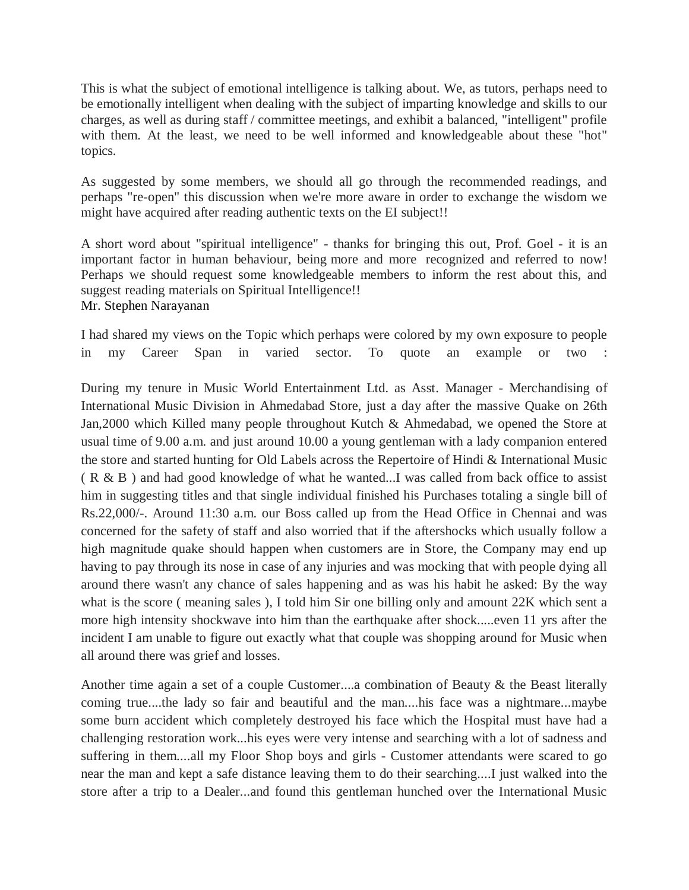This is what the subject of emotional intelligence is talking about. We, as tutors, perhaps need to be emotionally intelligent when dealing with the subject of imparting knowledge and skills to our charges, as well as during staff / committee meetings, and exhibit a balanced, "intelligent" profile with them. At the least, we need to be well informed and knowledgeable about these "hot" topics.

As suggested by some members, we should all go through the recommended readings, and perhaps "re-open" this discussion when we're more aware in order to exchange the wisdom we might have acquired after reading authentic texts on the EI subject!!

A short word about "spiritual intelligence" - thanks for bringing this out, Prof. Goel - it is an important factor in human behaviour, being more and more recognized and referred to now! Perhaps we should request some knowledgeable members to inform the rest about this, and suggest reading materials on Spiritual Intelligence!! Mr. Stephen Narayanan

I had shared my views on the Topic which perhaps were colored by my own exposure to people in my Career Span in varied sector. To quote an example or two :

During my tenure in Music World Entertainment Ltd. as Asst. Manager - Merchandising of International Music Division in Ahmedabad Store, just a day after the massive Quake on 26th Jan,2000 which Killed many people throughout Kutch & Ahmedabad, we opened the Store at usual time of 9.00 a.m. and just around 10.00 a young gentleman with a lady companion entered the store and started hunting for Old Labels across the Repertoire of Hindi & International Music  $(R & B)$  and had good knowledge of what he wanted...I was called from back office to assist him in suggesting titles and that single individual finished his Purchases totaling a single bill of Rs.22,000/-. Around 11:30 a.m. our Boss called up from the Head Office in Chennai and was concerned for the safety of staff and also worried that if the aftershocks which usually follow a high magnitude quake should happen when customers are in Store, the Company may end up having to pay through its nose in case of any injuries and was mocking that with people dying all around there wasn't any chance of sales happening and as was his habit he asked: By the way what is the score ( meaning sales ), I told him Sir one billing only and amount 22K which sent a more high intensity shockwave into him than the earthquake after shock.....even 11 yrs after the incident I am unable to figure out exactly what that couple was shopping around for Music when all around there was grief and losses.

Another time again a set of a couple Customer....a combination of Beauty & the Beast literally coming true....the lady so fair and beautiful and the man....his face was a nightmare...maybe some burn accident which completely destroyed his face which the Hospital must have had a challenging restoration work...his eyes were very intense and searching with a lot of sadness and suffering in them....all my Floor Shop boys and girls - Customer attendants were scared to go near the man and kept a safe distance leaving them to do their searching....I just walked into the store after a trip to a Dealer...and found this gentleman hunched over the International Music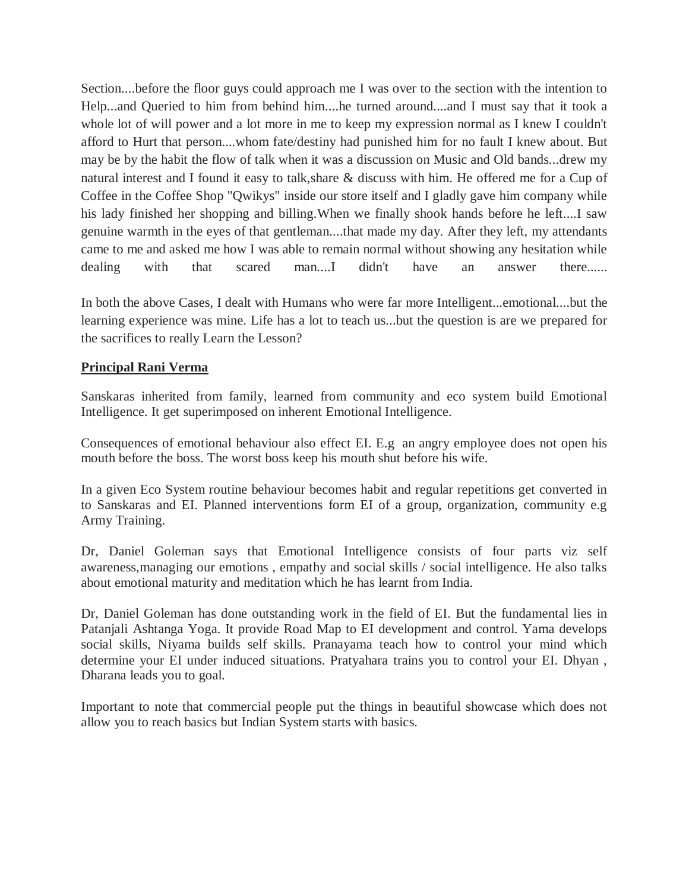Section....before the floor guys could approach me I was over to the section with the intention to Help...and Queried to him from behind him....he turned around....and I must say that it took a whole lot of will power and a lot more in me to keep my expression normal as I knew I couldn't afford to Hurt that person....whom fate/destiny had punished him for no fault I knew about. But may be by the habit the flow of talk when it was a discussion on Music and Old bands...drew my natural interest and I found it easy to talk,share & discuss with him. He offered me for a Cup of Coffee in the Coffee Shop "Qwikys" inside our store itself and I gladly gave him company while his lady finished her shopping and billing.When we finally shook hands before he left....I saw genuine warmth in the eyes of that gentleman....that made my day. After they left, my attendants came to me and asked me how I was able to remain normal without showing any hesitation while dealing with that scared man....I didn't have an answer there......

In both the above Cases, I dealt with Humans who were far more Intelligent...emotional....but the learning experience was mine. Life has a lot to teach us...but the question is are we prepared for the sacrifices to really Learn the Lesson?

# **Principal Rani Verma**

Sanskaras inherited from family, learned from community and eco system build Emotional Intelligence. It get superimposed on inherent Emotional Intelligence.

Consequences of emotional behaviour also effect EI. E.g an angry employee does not open his mouth before the boss. The worst boss keep his mouth shut before his wife.

In a given Eco System routine behaviour becomes habit and regular repetitions get converted in to Sanskaras and EI. Planned interventions form EI of a group, organization, community e.g Army Training.

Dr, Daniel Goleman says that Emotional Intelligence consists of four parts viz self awareness,managing our emotions , empathy and social skills / social intelligence. He also talks about emotional maturity and meditation which he has learnt from India.

Dr, Daniel Goleman has done outstanding work in the field of EI. But the fundamental lies in Patanjali Ashtanga Yoga. It provide Road Map to EI development and control. Yama develops social skills, Niyama builds self skills. Pranayama teach how to control your mind which determine your EI under induced situations. Pratyahara trains you to control your EI. Dhyan , Dharana leads you to goal.

Important to note that commercial people put the things in beautiful showcase which does not allow you to reach basics but Indian System starts with basics.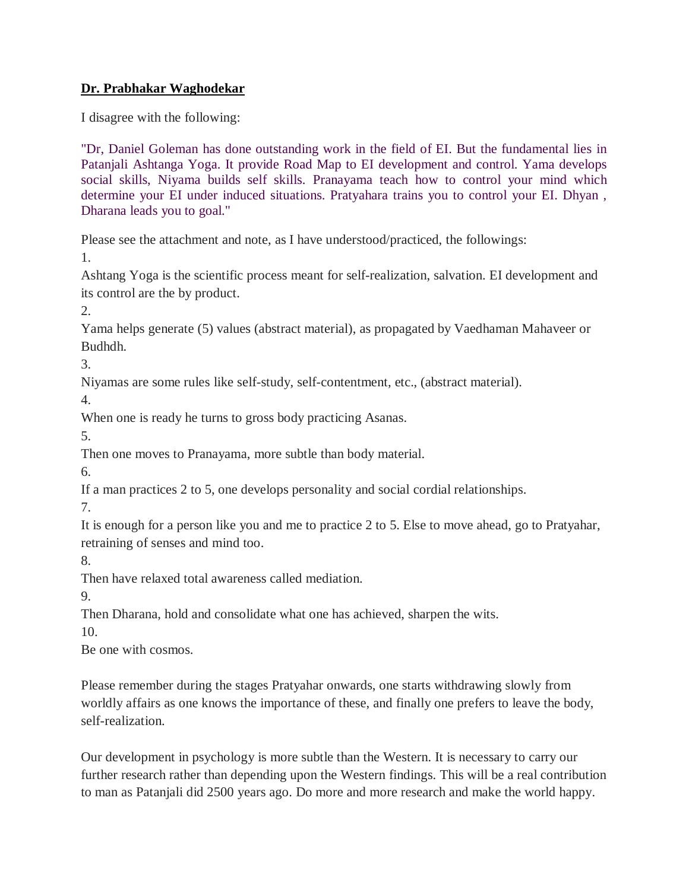# **Dr. Prabhakar Waghodekar**

I disagree with the following:

"Dr, Daniel Goleman has done outstanding work in the field of EI. But the fundamental lies in Patanjali Ashtanga Yoga. It provide Road Map to EI development and control. Yama develops social skills, Niyama builds self skills. Pranayama teach how to control your mind which determine your EI under induced situations. Pratyahara trains you to control your EI. Dhyan , Dharana leads you to goal."

Please see the attachment and note, as I have understood/practiced, the followings:

1.

Ashtang Yoga is the scientific process meant for self-realization, salvation. EI development and its control are the by product.

2.

Yama helps generate (5) values (abstract material), as propagated by Vaedhaman Mahaveer or Budhdh.

3.

Niyamas are some rules like self-study, self-contentment, etc., (abstract material).

4.

When one is ready he turns to gross body practicing Asanas.

5.

Then one moves to Pranayama, more subtle than body material.

6.

If a man practices 2 to 5, one develops personality and social cordial relationships.

7.

It is enough for a person like you and me to practice 2 to 5. Else to move ahead, go to Pratyahar, retraining of senses and mind too.

8.

Then have relaxed total awareness called mediation.

9.

Then Dharana, hold and consolidate what one has achieved, sharpen the wits.

10.

Be one with cosmos.

Please remember during the stages Pratyahar onwards, one starts withdrawing slowly from worldly affairs as one knows the importance of these, and finally one prefers to leave the body, self-realization.

Our development in psychology is more subtle than the Western. It is necessary to carry our further research rather than depending upon the Western findings. This will be a real contribution to man as Patanjali did 2500 years ago. Do more and more research and make the world happy.